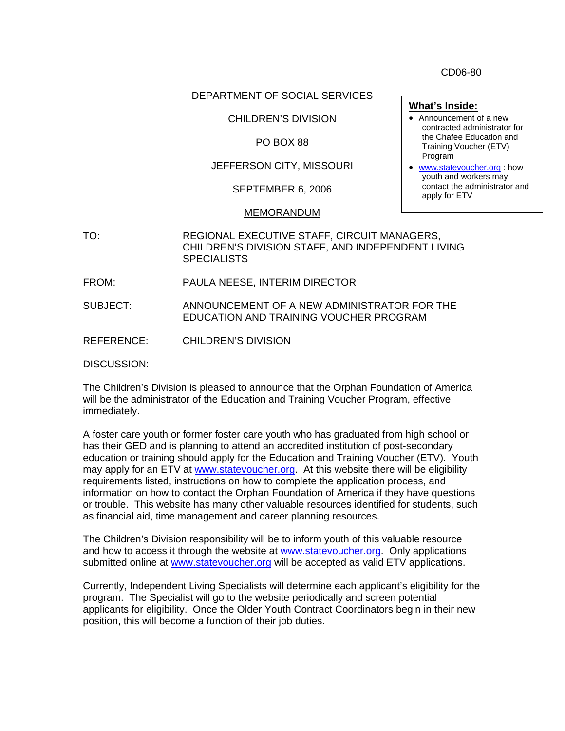CD06-80

### DEPARTMENT OF SOCIAL SERVICES

## CHILDREN'S DIVISION

### PO BOX 88

## JEFFERSON CITY, MISSOURI

SEPTEMBER 6, 2006

#### MEMORANDUM

- TO: REGIONAL EXECUTIVE STAFF, CIRCUIT MANAGERS, CHILDREN'S DIVISION STAFF, AND INDEPENDENT LIVING **SPECIALISTS**
- FROM: PAULA NEESE, INTERIM DIRECTOR
- SUBJECT: ANNOUNCEMENT OF A NEW ADMINISTRATOR FOR THE EDUCATION AND TRAINING VOUCHER PROGRAM
- REFERENCE: CHILDREN'S DIVISION

DISCUSSION:

The Children's Division is pleased to announce that the Orphan Foundation of America will be the administrator of the Education and Training Voucher Program, effective immediately.

A foster care youth or former foster care youth who has graduated from high school or has their GED and is planning to attend an accredited institution of post-secondary education or training should apply for the Education and Training Voucher (ETV). Youth may apply for an ETV at [www.statevoucher.org.](http://www.statevoucher.org/) At this website there will be eligibility requirements listed, instructions on how to complete the application process, and information on how to contact the Orphan Foundation of America if they have questions or trouble. This website has many other valuable resources identified for students, such as financial aid, time management and career planning resources.

The Children's Division responsibility will be to inform youth of this valuable resource and how to access it through the website at [www.statevoucher.org.](http://www.statevoucher.org/) Only applications submitted online at [www.statevoucher.org](http://www.statevoucher.org/) will be accepted as valid ETV applications.

Currently, Independent Living Specialists will determine each applicant's eligibility for the program. The Specialist will go to the website periodically and screen potential applicants for eligibility. Once the Older Youth Contract Coordinators begin in their new position, this will become a function of their job duties.

- **What's Inside:** • Announcement of a new contracted administrator for the Chafee Education and Training Voucher (ETV) Program
- [www.statevoucher.org](http://www.statevoucher.org/) : how youth and workers may contact the administrator and apply for ETV